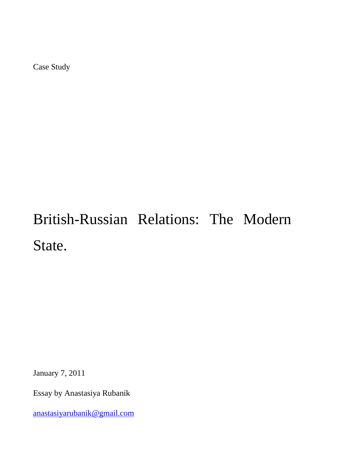Case Study

# British-Russian Relations: The Modern State.

January 7, 2011

Essay by Anastasiya Rubanik

[anastasiyarubanik@gmail.com](mailto:anastasiyarubanik@gmail.com)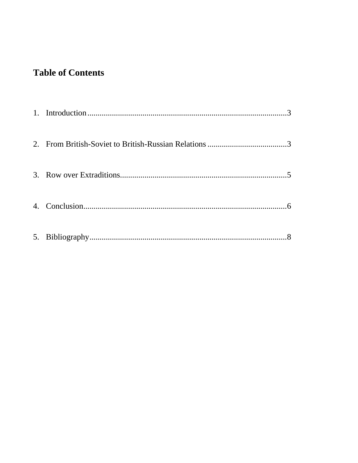## **Table of Contents**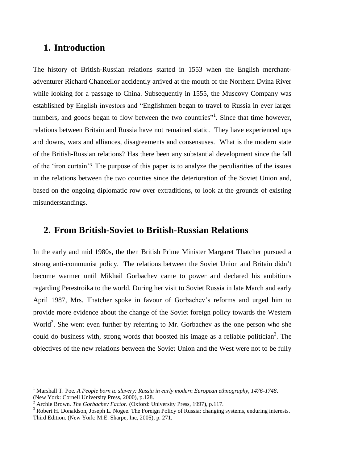#### <span id="page-2-0"></span>**1. Introduction**

The history of British-Russian relations started in 1553 when the English merchantadventurer Richard Chancellor accidently arrived at the mouth of the Northern Dvina River while looking for a passage to China. Subsequently in 1555, the Muscovy Company was established by English investors and "Englishmen began to travel to Russia in ever larger numbers, and goods began to flow between the two countries"<sup>1</sup>. Since that time however, relations between Britain and Russia have not remained static. They have experienced ups and downs, wars and alliances, disagreements and consensuses. What is the modern state of the British-Russian relations? Has there been any substantial development since the fall of the "iron curtain"? The purpose of this paper is to analyze the peculiarities of the issues in the relations between the two counties since the deterioration of the Soviet Union and, based on the ongoing diplomatic row over extraditions, to look at the grounds of existing misunderstandings.

#### <span id="page-2-1"></span>**2. From British-Soviet to British-Russian Relations**

In the early and mid 1980s, the then British Prime Minister Margaret Thatcher pursued a strong anti-communist policy. The relations between the Soviet Union and Britain didn"t become warmer until Mikhail Gorbachev came to power and declared his ambitions regarding Perestroika to the world. During her visit to Soviet Russia in late March and early April 1987, Mrs. Thatcher spoke in favour of Gorbachev"s reforms and urged him to provide more evidence about the change of the Soviet foreign policy towards the Western World<sup>2</sup>. She went even further by referring to Mr. Gorbachev as the one person who she could do business with, strong words that boosted his image as a reliable politician<sup>3</sup>. The objectives of the new relations between the Soviet Union and the West were not to be fully

 $\overline{a}$ 

<sup>1</sup> Marshall T. Poe. *A People born to slavery: Russia in early modern European ethnography, 1476-1748*. (New York: Cornell University Press, 2000), p.128.

<sup>2</sup> Archie Brown. *The Gorbachev Factor.* (Oxford: University Press, 1997), p.117.

<sup>&</sup>lt;sup>3</sup> Robert H. Donaldson, Joseph L. Nogee. The Foreign Policy of Russia: changing systems, enduring interests. Third Edition. (New York: M.E. Sharpe, Inc, 2005), p. 271.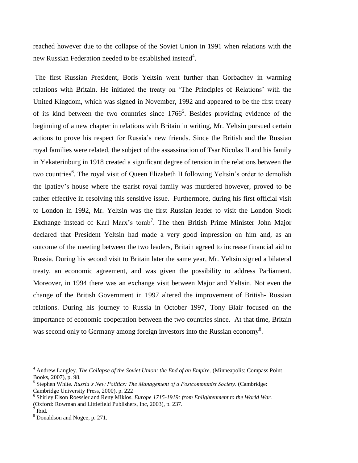reached however due to the collapse of the Soviet Union in 1991 when relations with the new Russian Federation needed to be established instead<sup>4</sup>.

The first Russian President, Boris Yeltsin went further than Gorbachev in warming relations with Britain. He initiated the treaty on "The Principles of Relations" with the United Kingdom, which was signed in November, 1992 and appeared to be the first treaty of its kind between the two countries since  $1766^5$ . Besides providing evidence of the beginning of a new chapter in relations with Britain in writing, Mr. Yeltsin pursued certain actions to prove his respect for Russia"s new friends. Since the British and the Russian royal families were related, the subject of the assassination of Tsar Nicolas II and his family in Yekaterinburg in 1918 created a significant degree of tension in the relations between the two countries<sup>6</sup>. The royal visit of Queen Elizabeth II following Yeltsin's order to demolish the Ipatiev"s house where the tsarist royal family was murdered however, proved to be rather effective in resolving this sensitive issue. Furthermore, during his first official visit to London in 1992, Mr. Yeltsin was the first Russian leader to visit the London Stock Exchange instead of Karl Marx's tomb<sup>7</sup>. The then British Prime Minister John Major declared that President Yeltsin had made a very good impression on him and, as an outcome of the meeting between the two leaders, Britain agreed to increase financial aid to Russia. During his second visit to Britain later the same year, Mr. Yeltsin signed a bilateral treaty, an economic agreement, and was given the possibility to address Parliament. Moreover, in 1994 there was an exchange visit between Major and Yeltsin. Not even the change of the British Government in 1997 altered the improvement of British- Russian relations. During his journey to Russia in October 1997, Tony Blair focused on the importance of economic cooperation between the two countries since. At that time, Britain was second only to Germany among foreign investors into the Russian economy<sup>8</sup>.

 $\overline{a}$ 

<sup>4</sup> Andrew Langley. *The Collapse of the Soviet Union: the End of an Empire*. (Minneapolis: Compass Point Books, 2007), p. 98.

<sup>5</sup> Stephen White. *Russia's New Politics: The Management of a Postcommunist Society*. (Cambridge: Cambridge University Press, 2000), p. 222

<sup>6</sup> Shirley Elson Roessler and Reny Miklos. *Europe 1715-1919: from Enlightenment to the World War.* (Oxford: Rowman and Littlefield Publishers, Inc, 2003), p. 237. 7 Ibid.

<sup>8</sup> Donaldson and Nogee, p. 271.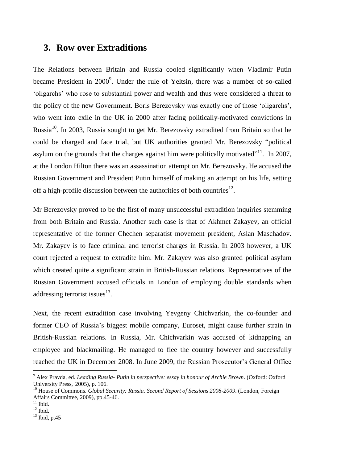#### <span id="page-4-0"></span>**3. Row over Extraditions**

The Relations between Britain and Russia cooled significantly when Vladimir Putin became President in  $2000^9$ . Under the rule of Yeltsin, there was a number of so-called "oligarchs" who rose to substantial power and wealth and thus were considered a threat to the policy of the new Government. Boris Berezovsky was exactly one of those "oligarchs", who went into exile in the UK in 2000 after facing politically-motivated convictions in Russia<sup>10</sup>. In 2003, Russia sought to get Mr. Berezovsky extradited from Britain so that he could be charged and face trial, but UK authorities granted Mr. Berezovsky "political asylum on the grounds that the charges against him were politically motivated"<sup>11</sup>. In 2007, at the London Hilton there was an assassination attempt on Mr. Berezovsky. He accused the Russian Government and President Putin himself of making an attempt on his life, setting off a high-profile discussion between the authorities of both countries<sup>12</sup>.

Mr Berezovsky proved to be the first of many unsuccessful extradition inquiries stemming from both Britain and Russia. Another such case is that of Akhmet Zakayev, an official representative of the former Chechen separatist movement president, Aslan Maschadov. Mr. Zakayev is to face criminal and terrorist charges in Russia. In 2003 however, a UK court rejected a request to extradite him. Mr. Zakayev was also granted political asylum which created quite a significant strain in British-Russian relations. Representatives of the Russian Government accused officials in London of employing double standards when addressing terrorist issues $^{13}$ .

Next, the recent extradition case involving Yevgeny Chichvarkin, the co-founder and former CEO of Russia"s biggest mobile company, Euroset, might cause further strain in British-Russian relations. In Russia, Mr. Chichvarkin was accused of kidnapping an employee and blackmailing. He managed to flee the country however and successfully reached the UK in December 2008. In June 2009, the Russian Prosecutor"s General Office

 $\overline{\phantom{a}}$ 

<sup>9</sup> Alex Pravda, ed. *Leading Russia- Putin in perspective: essay in honour of Archie Brown*. (Oxford: Oxford University Press, 2005), p. 106.

<sup>10</sup> House of Commons. *Global Security: Russia. Second Report of Sessions 2008-2009*. (London, Foreign Affairs Committee, 2009), pp.45-46.

 $11$  Ibid.

 $12$  Ibid.

 $13$  Ibid, p.45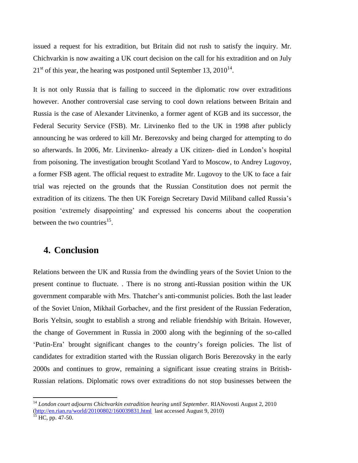issued a request for his extradition, but Britain did not rush to satisfy the inquiry. Mr. Chichvarkin is now awaiting a UK court decision on the call for his extradition and on July  $21<sup>st</sup>$  of this year, the hearing was postponed until September 13, 2010<sup>14</sup>.

It is not only Russia that is failing to succeed in the diplomatic row over extraditions however. Another controversial case serving to cool down relations between Britain and Russia is the case of Alexander Litvinenko, a former agent of KGB and its successor, the Federal Security Service (FSB). Mr. Litvinenko fled to the UK in 1998 after publicly announcing he was ordered to kill Mr. Berezovsky and being charged for attempting to do so afterwards. In 2006, Mr. Litvinenko- already a UK citizen- died in London"s hospital from poisoning. The investigation brought Scotland Yard to Moscow, to Andrey Lugovoy, a former FSB agent. The official request to extradite Mr. Lugovoy to the UK to face a fair trial was rejected on the grounds that the Russian Constitution does not permit the extradition of its citizens. The then UK Foreign Secretary David Miliband called Russia"s position "extremely disappointing" and expressed his concerns about the cooperation between the two countries $^{15}$ .

#### <span id="page-5-0"></span>**4. Conclusion**

Relations between the UK and Russia from the dwindling years of the Soviet Union to the present continue to fluctuate. . There is no strong anti-Russian position within the UK government comparable with Mrs. Thatcher"s anti-communist policies. Both the last leader of the Soviet Union, Mikhail Gorbachev, and the first president of the Russian Federation, Boris Yeltsin, sought to establish a strong and reliable friendship with Britain. However, the change of Government in Russia in 2000 along with the beginning of the so-called "Putin-Era" brought significant changes to the country"s foreign policies. The list of candidates for extradition started with the Russian oligarch Boris Berezovsky in the early 2000s and continues to grow, remaining a significant issue creating strains in British-Russian relations. Diplomatic rows over extraditions do not stop businesses between the

 $\overline{\phantom{a}}$ 

<sup>14</sup> *London court adjourns Chichvarkin extradition hearing until September.* RIANovosti August 2, 2010 [\(http://en.rian.ru/world/20100802/160039831.html](http://en.rian.ru/world/20100802/160039831.html) last accessed August 9, 2010)

 $15$  HC, pp. 47-50.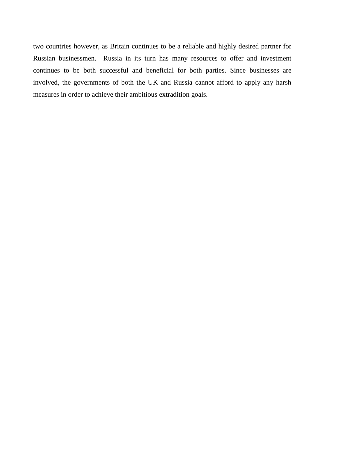two countries however, as Britain continues to be a reliable and highly desired partner for Russian businessmen. Russia in its turn has many resources to offer and investment continues to be both successful and beneficial for both parties. Since businesses are involved, the governments of both the UK and Russia cannot afford to apply any harsh measures in order to achieve their ambitious extradition goals.